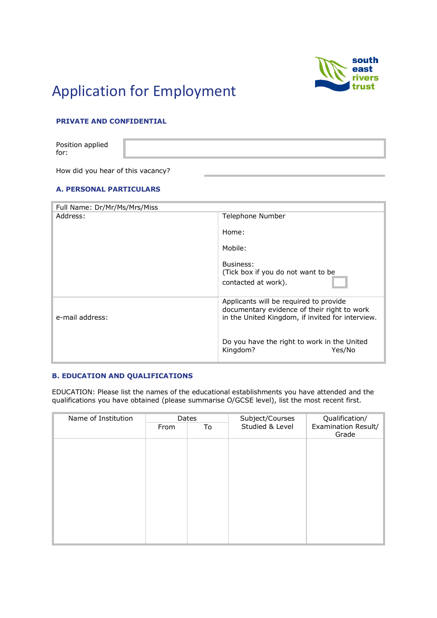

# Application for Employment

# **PRIVATE AND CONFIDENTIAL**

Position applied for:

How did you hear of this vacancy?

## **A. PERSONAL PARTICULARS**

| Full Name: Dr/Mr/Ms/Mrs/Miss |                                                                                                                                           |  |
|------------------------------|-------------------------------------------------------------------------------------------------------------------------------------------|--|
| Address:                     | Telephone Number                                                                                                                          |  |
|                              | Home:                                                                                                                                     |  |
|                              | Mobile:                                                                                                                                   |  |
|                              | Business:<br>(Tick box if you do not want to be<br>contacted at work).                                                                    |  |
| e-mail address:              | Applicants will be required to provide<br>documentary evidence of their right to work<br>in the United Kingdom, if invited for interview. |  |
|                              | Do you have the right to work in the United<br>Kingdom?<br>Yes/No                                                                         |  |

#### **B. EDUCATION AND QUALIFICATIONS**

EDUCATION: Please list the names of the educational establishments you have attended and the qualifications you have obtained (please summarise O/GCSE level), list the most recent first.

| Name of Institution | Dates |    | Subject/Courses | Qualification/               |
|---------------------|-------|----|-----------------|------------------------------|
|                     | From  | To | Studied & Level | Examination Result/<br>Grade |
|                     |       |    |                 |                              |
|                     |       |    |                 |                              |
|                     |       |    |                 |                              |
|                     |       |    |                 |                              |
|                     |       |    |                 |                              |
|                     |       |    |                 |                              |
|                     |       |    |                 |                              |
|                     |       |    |                 |                              |
|                     |       |    |                 |                              |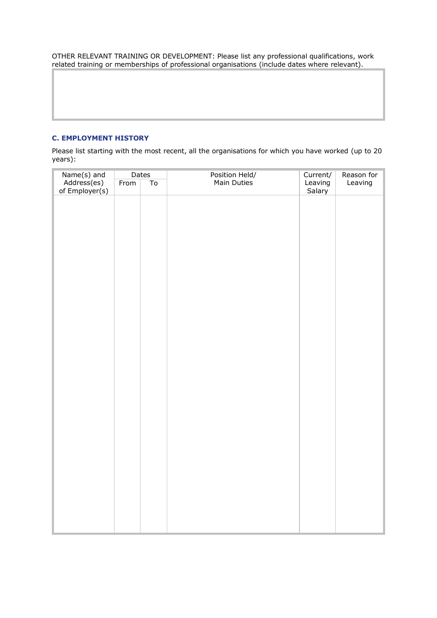OTHER RELEVANT TRAINING OR DEVELOPMENT: Please list any professional qualifications, work related training or memberships of professional organisations (include dates where relevant).

### **C. EMPLOYMENT HISTORY**

Please list starting with the most recent, all the organisations for which you have worked (up to 20 years):

| Name(s) and<br>Address(es)<br>of Employer(s) |      | Dates<br>Position Held/<br>Main Duties |  | Current/<br>Reason for |         |
|----------------------------------------------|------|----------------------------------------|--|------------------------|---------|
|                                              | From | $\overline{\text{To}}$                 |  | Leaving                | Leaving |
|                                              |      |                                        |  | Salary                 |         |
|                                              |      |                                        |  |                        |         |
|                                              |      |                                        |  |                        |         |
|                                              |      |                                        |  |                        |         |
|                                              |      |                                        |  |                        |         |
|                                              |      |                                        |  |                        |         |
|                                              |      |                                        |  |                        |         |
|                                              |      |                                        |  |                        |         |
|                                              |      |                                        |  |                        |         |
|                                              |      |                                        |  |                        |         |
|                                              |      |                                        |  |                        |         |
|                                              |      |                                        |  |                        |         |
|                                              |      |                                        |  |                        |         |
|                                              |      |                                        |  |                        |         |
|                                              |      |                                        |  |                        |         |
|                                              |      |                                        |  |                        |         |
|                                              |      |                                        |  |                        |         |
|                                              |      |                                        |  |                        |         |
|                                              |      |                                        |  |                        |         |
|                                              |      |                                        |  |                        |         |
|                                              |      |                                        |  |                        |         |
|                                              |      |                                        |  |                        |         |
|                                              |      |                                        |  |                        |         |
|                                              |      |                                        |  |                        |         |
|                                              |      |                                        |  |                        |         |
|                                              |      |                                        |  |                        |         |
|                                              |      |                                        |  |                        |         |
|                                              |      |                                        |  |                        |         |
|                                              |      |                                        |  |                        |         |
|                                              |      |                                        |  |                        |         |
|                                              |      |                                        |  |                        |         |
|                                              |      |                                        |  |                        |         |
|                                              |      |                                        |  |                        |         |
|                                              |      |                                        |  |                        |         |
|                                              |      |                                        |  |                        |         |
|                                              |      |                                        |  |                        |         |
|                                              |      |                                        |  |                        |         |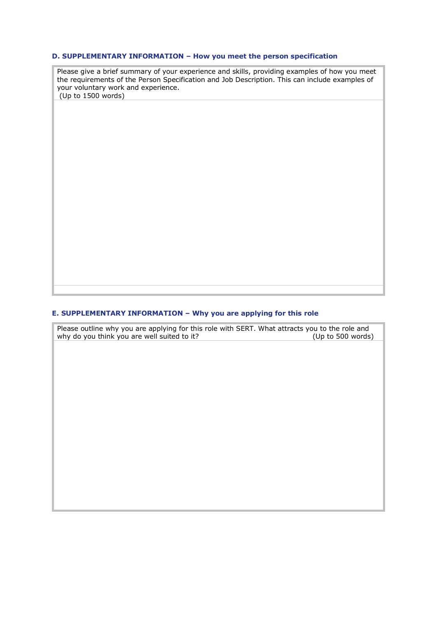#### **D. SUPPLEMENTARY INFORMATION – How you meet the person specification**

Please give a brief summary of your experience and skills, providing examples of how you meet the requirements of the Person Specification and Job Description. This can include examples of your voluntary work and experience.  $(Up$  to 1500 words)

# **E. SUPPLEMENTARY INFORMATION – Why you are applying for this role**

Please outline why you are applying for this role with SERT. What attracts you to the role and<br>why do you think you are well suited to it? (Up to 500 words) why do you think you are well suited to it?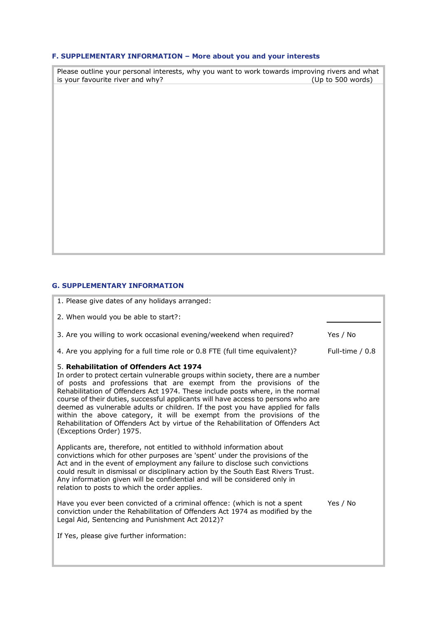# **F. SUPPLEMENTARY INFORMATION – More about you and your interests**

| Please outline your personal interests, why you want to work towards improving rivers and what<br>is your favourite river and why? | (Up to 500 words) |
|------------------------------------------------------------------------------------------------------------------------------------|-------------------|
|                                                                                                                                    |                   |
|                                                                                                                                    |                   |
|                                                                                                                                    |                   |
|                                                                                                                                    |                   |
|                                                                                                                                    |                   |
|                                                                                                                                    |                   |
|                                                                                                                                    |                   |
|                                                                                                                                    |                   |

## **G. SUPPLEMENTARY INFORMATION**

| 1. Please give dates of any holidays arranged:                                                                                                                                                                                                                                                                                                                                                                                                                                                                                                                                                                                                          |                   |
|---------------------------------------------------------------------------------------------------------------------------------------------------------------------------------------------------------------------------------------------------------------------------------------------------------------------------------------------------------------------------------------------------------------------------------------------------------------------------------------------------------------------------------------------------------------------------------------------------------------------------------------------------------|-------------------|
| 2. When would you be able to start?:                                                                                                                                                                                                                                                                                                                                                                                                                                                                                                                                                                                                                    |                   |
| 3. Are you willing to work occasional evening/weekend when required?                                                                                                                                                                                                                                                                                                                                                                                                                                                                                                                                                                                    | Yes / No          |
| 4. Are you applying for a full time role or 0.8 FTE (full time equivalent)?                                                                                                                                                                                                                                                                                                                                                                                                                                                                                                                                                                             | Full-time $/ 0.8$ |
| 5. Rehabilitation of Offenders Act 1974<br>In order to protect certain vulnerable groups within society, there are a number<br>of posts and professions that are exempt from the provisions of the<br>Rehabilitation of Offenders Act 1974. These include posts where, in the normal<br>course of their duties, successful applicants will have access to persons who are<br>deemed as vulnerable adults or children. If the post you have applied for falls<br>within the above category, it will be exempt from the provisions of the<br>Rehabilitation of Offenders Act by virtue of the Rehabilitation of Offenders Act<br>(Exceptions Order) 1975. |                   |
| Applicants are, therefore, not entitled to withhold information about<br>convictions which for other purposes are 'spent' under the provisions of the<br>Act and in the event of employment any failure to disclose such convictions<br>could result in dismissal or disciplinary action by the South East Rivers Trust.<br>Any information given will be confidential and will be considered only in<br>relation to posts to which the order applies.                                                                                                                                                                                                  |                   |
| Have you ever been convicted of a criminal offence: (which is not a spent<br>conviction under the Rehabilitation of Offenders Act 1974 as modified by the<br>Legal Aid, Sentencing and Punishment Act 2012)?                                                                                                                                                                                                                                                                                                                                                                                                                                            | Yes / No          |
| If Yes, please give further information:                                                                                                                                                                                                                                                                                                                                                                                                                                                                                                                                                                                                                |                   |